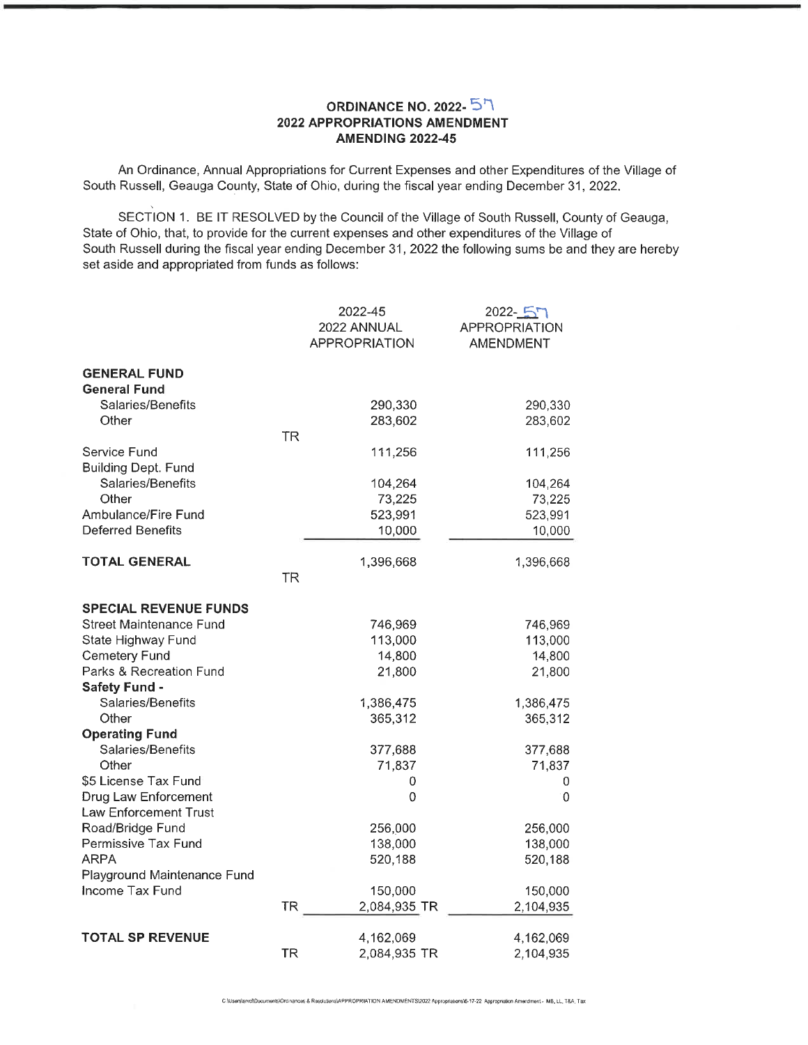## ORDINANCE NO. 2022- $\overline{5}$ <sup>7</sup> 2022 APPROPRIATIONS AMENDMENT AMENDING 2022-45

An Ordinance, Annual Appropriations for Current Expenses and other Expenditures of the Village of South Russell, Geauga County, State of Ohio, during the fiscal year ending December 31, 2022.

SECTION 1. BE IT RESOLVED by the Council of the Village of South Russell, County of Geauga, State of Ohio, that, to provide for the current expenses and other expenditures of the Village of South Russell during the fiscal year ending December 31, 2022 the following sums be and they are hereby set aside and appropriated from funds as follows:

|                                                      | 2022-45<br>2022 ANNUAL<br><b>APPROPRIATION</b> | $2022 - 57$<br><b>APPROPRIATION</b><br><b>AMENDMENT</b> |
|------------------------------------------------------|------------------------------------------------|---------------------------------------------------------|
| <b>GENERAL FUND</b>                                  |                                                |                                                         |
| <b>General Fund</b>                                  |                                                |                                                         |
| Salaries/Benefits                                    | 290,330                                        | 290,330                                                 |
| Other                                                | 283,602<br><b>TR</b>                           | 283,602                                                 |
| Service Fund                                         | 111,256                                        | 111,256                                                 |
| <b>Building Dept. Fund</b>                           |                                                |                                                         |
| Salaries/Benefits                                    | 104,264                                        | 104,264                                                 |
| Other                                                | 73,225                                         | 73,225                                                  |
| Ambulance/Fire Fund                                  | 523,991                                        | 523,991                                                 |
| <b>Deferred Benefits</b>                             | 10,000                                         | 10,000                                                  |
| <b>TOTAL GENERAL</b>                                 | 1,396,668                                      | 1,396,668                                               |
|                                                      | <b>TR</b>                                      |                                                         |
| <b>SPECIAL REVENUE FUNDS</b>                         |                                                |                                                         |
| Street Maintenance Fund                              | 746,969                                        | 746,969                                                 |
| State Highway Fund                                   | 113,000                                        | 113,000                                                 |
| <b>Cemetery Fund</b>                                 | 14,800                                         | 14,800                                                  |
| Parks & Recreation Fund                              | 21,800                                         | 21,800                                                  |
| Safety Fund -                                        |                                                |                                                         |
| Salaries/Benefits                                    | 1,386,475                                      | 1,386,475                                               |
| Other                                                | 365,312                                        | 365,312                                                 |
| <b>Operating Fund</b>                                |                                                |                                                         |
| Salaries/Benefits                                    | 377,688                                        | 377,688                                                 |
| Other                                                | 71,837                                         | 71,837                                                  |
| \$5 License Tax Fund                                 | 0                                              | 0                                                       |
| Drug Law Enforcement<br><b>Law Enforcement Trust</b> | 0                                              | 0                                                       |
| Road/Bridge Fund                                     | 256,000                                        | 256,000                                                 |
| Permissive Tax Fund                                  | 138,000                                        | 138,000                                                 |
| <b>ARPA</b>                                          | 520,188                                        | 520,188                                                 |
| Playground Maintenance Fund                          |                                                |                                                         |
| Income Tax Fund                                      | 150,000                                        | 150,000                                                 |
|                                                      | <b>TR</b><br>2,084,935 TR                      | 2,104,935                                               |
| <b>TOTAL SP REVENUE</b>                              | 4,162,069                                      | 4,162,069                                               |
|                                                      | <b>TR</b><br>2,084,935 TR                      | 2,104,935                                               |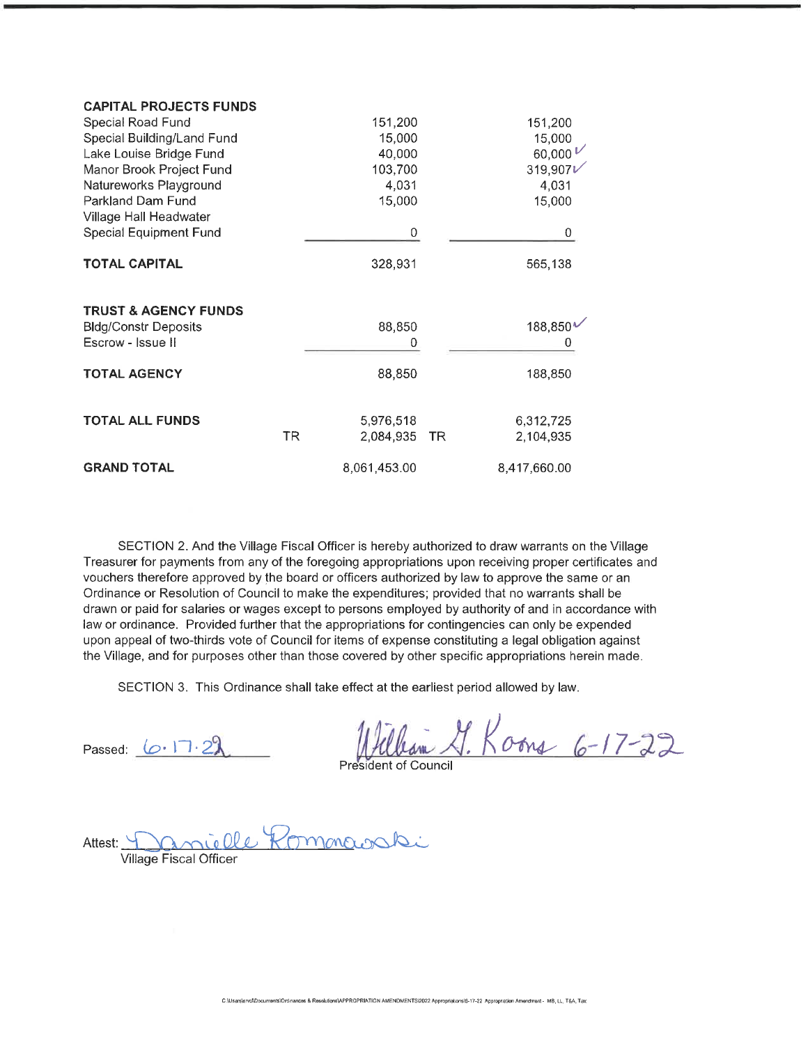| <b>CAPITAL PROJECTS FUNDS</b>   |     |              |    |               |
|---------------------------------|-----|--------------|----|---------------|
| Special Road Fund               |     | 151,200      |    | 151,200       |
| Special Building/Land Fund      |     | 15,000       |    | 15,000        |
| Lake Louise Bridge Fund         |     | 40,000       |    | 60,000 $\nu$  |
| Manor Brook Project Fund        |     | 103,700      |    | 319,907 $\nu$ |
| Natureworks Playground          |     | 4,031        |    | 4,031         |
| Parkland Dam Fund               |     | 15,000       |    | 15,000        |
| Village Hall Headwater          |     |              |    |               |
| Special Equipment Fund          |     | 0            |    | 0             |
| <b>TOTAL CAPITAL</b>            |     | 328,931      |    | 565,138       |
| <b>TRUST &amp; AGENCY FUNDS</b> |     |              |    |               |
| <b>Bldg/Constr Deposits</b>     |     | 88,850       |    | 188,850*      |
| Escrow - Issue II               |     | Ω            |    |               |
| <b>TOTAL AGENCY</b>             |     | 88,850       |    | 188,850       |
| <b>TOTAL ALL FUNDS</b>          |     | 5,976,518    |    | 6,312,725     |
|                                 | TR. | 2,084,935    | TR | 2,104,935     |
| <b>GRAND TOTAL</b>              |     | 8,061,453.00 |    | 8,417,660.00  |

SECTION 2. And the Village Fiscal Officer is hereby authorized to draw warrants on the Village Treasurer for payments from any of the foregoing appropriations upon receiving proper certificates and vouchers therefore approved by the board or officers authorized by law to approve the same or an Ordinance or Resolution of Council to make the expenditures; provided that no warrants shall be drawn or paid for salaries or wages except to persons employed by authority of and in accordance with law or ordinance. Provided further that the appropriations for contingencies can only be expended upon appeal of two-thirds vote of Council for items of expense constituting a legal obligation against the Village, and for purposes other than those covered by other specific appropriations herein made.

SECTION 3. This Ordinance shall take effect at the earliest period allowed by law.

Passed:  $6.17.22$  Whileham J.K William G. Koons 6-17-22

Attest: Danielle Kommanashi Village Fiscal Officer